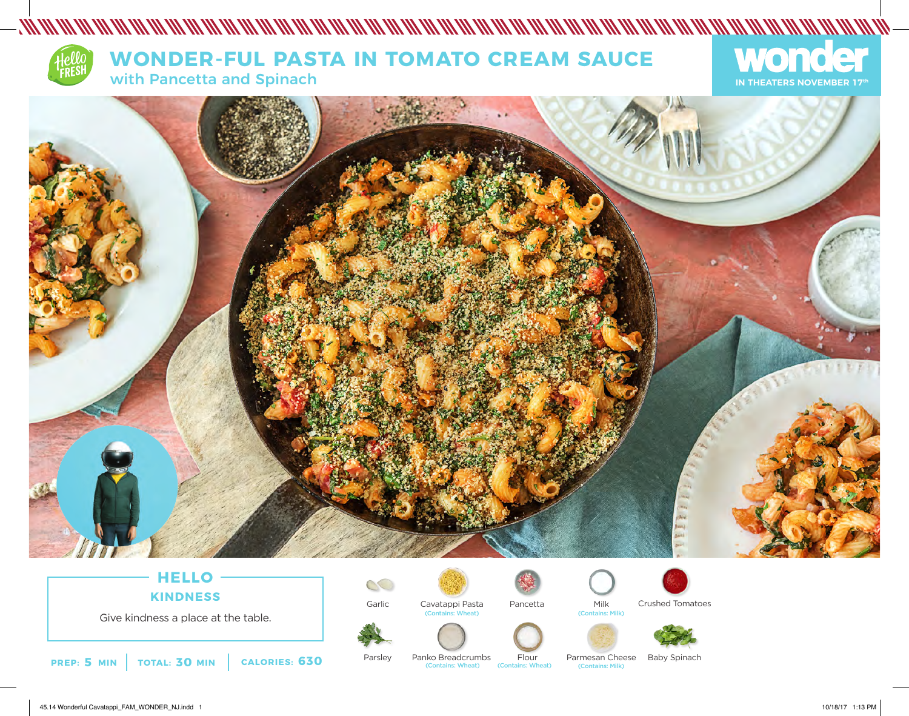

# **WONDER-FUL PASTA IN TOMATO CREAM SAUCE**  with Pancetta and Spinach





# **HELLO KINDNESS**

Give kindness a place at the table.



Parsley

 $\circlearrowright$ 



Garlic Cavatappi Pasta Pancetta Milk (Contains: Wheat) (Contains: Milk)





Flour

(Contains: Wheat)









Panko Breadcrumbs Flour Parmesan Cheese Baby Spinach<br>
(Contains: Wheat) (Contains: Wheat) (Contains: Milk)